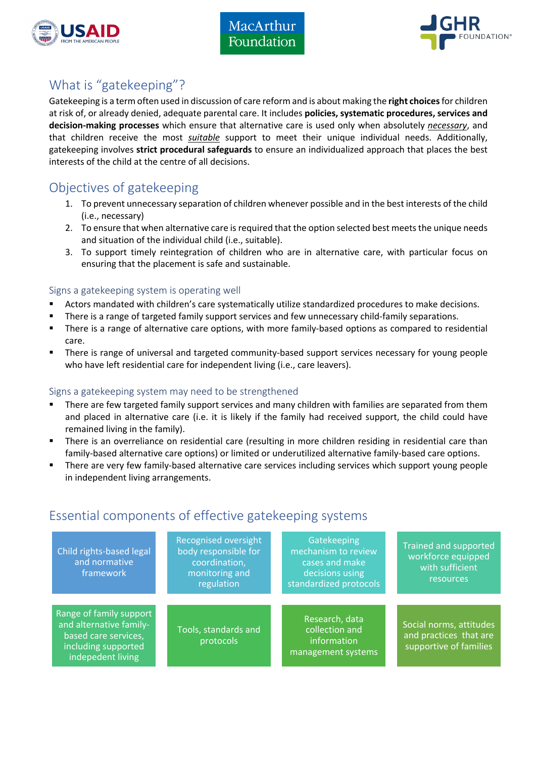



# What is "gatekeeping"?

Gatekeeping is a term often used in discussion of care reform and is about making the **right choices** for children at risk of, or already denied, adequate parental care. It includes **policies, systematic procedures, services and decision-making processes** which ensure that alternative care is used only when absolutely *necessary*, and that children receive the most *suitable* support to meet their unique individual needs. Additionally, gatekeeping involves **strict procedural safeguards** to ensure an individualized approach that places the best interests of the child at the centre of all decisions.

# Objectives of gatekeeping

- 1. To prevent unnecessary separation of children whenever possible and in the best interests of the child (i.e., necessary)
- 2. To ensure that when alternative care is required that the option selected best meets the unique needs and situation of the individual child (i.e., suitable).
- 3. To support timely reintegration of children who are in alternative care, with particular focus on ensuring that the placement is safe and sustainable.

## Signs a gatekeeping system is operating well

- Actors mandated with children's care systematically utilize standardized procedures to make decisions.
- There is a range of targeted family support services and few unnecessary child-family separations.
- § There is a range of alternative care options, with more family-based options as compared to residential care.
- There is range of universal and targeted community-based support services necessary for young people who have left residential care for independent living (i.e., care leavers).

## Signs a gatekeeping system may need to be strengthened

- There are few targeted family support services and many children with families are separated from them and placed in alternative care (i.e. it is likely if the family had received support, the child could have remained living in the family).
- There is an overreliance on residential care (resulting in more children residing in residential care than family-based alternative care options) or limited or underutilized alternative family-based care options.
- There are very few family-based alternative care services including services which support young people in independent living arrangements.

## Essential components of effective gatekeeping systems

| Child rights-based legal<br>and normative<br>framework                                                                 | <b>Recognised oversight</b><br>body responsible for<br>coordination,<br>monitoring and | Gatekeeping<br>mechanism to review<br>cases and make<br>decisions using | <b>Trained and supported</b><br>workforce equipped<br>with sufficient<br>resources |
|------------------------------------------------------------------------------------------------------------------------|----------------------------------------------------------------------------------------|-------------------------------------------------------------------------|------------------------------------------------------------------------------------|
|                                                                                                                        | regulation                                                                             | standardized protocols                                                  |                                                                                    |
| Range of family support<br>and alternative family-<br>based care services,<br>including supported<br>indepedent living | Tools, standards and<br>protocols                                                      | Research, data<br>collection and<br>information<br>management systems   | Social norms, attitudes<br>and practices that are<br>supportive of families        |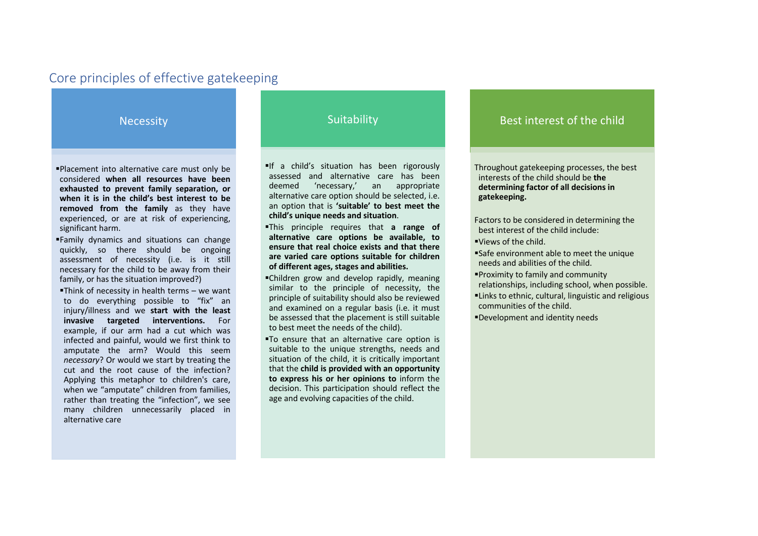## Core principles of effective gatekeeping

**Necessity** 

§Placement into alternative care must only be considered **when all resources have been exhausted to prevent family separation, or when it is in the child's best interest to be removed from the family** as they have experienced, or are at risk of experiencing, significant harm.

- §Family dynamics and situations can change quickly, so there should be ongoing assessment of necessity (i.e. is it still necessary for the child to be away from their family, or has the situation improved?)
- §Think of necessity in health terms we want to do everything possible to "fix" an injury/illness and we **start with the least invasive targeted interventions.** For example, if our arm had a cut which was infected and painful, would we first think to amputate the arm? Would this seem *necessary*? Or would we start by treating the cut and the root cause of the infection? Applying this metaphor to children's care, when we "amputate" children from families, rather than treating the "infection", we see many children unnecessarily placed in alternative care

## **Suitability**

§If a child's situation has been rigorously assessed and alternative care has been deemed 'necessary,' an appropriate alternative care option should be selected, i.e. an option that is **'suitable' to best meet the child's unique needs and situation**.

- §This principle requires that **a range of alternative care options be available, to ensure that real choice exists and that there are varied care options suitable for children of different ages, stages and abilities.**
- §Children grow and develop rapidly, meaning similar to the principle of necessity, the principle of suitability should also be reviewed and examined on a regular basis (i.e. it must be assessed that the placement is still suitable to best meet the needs of the child).
- §To ensure that an alternative care option is suitable to the unique strengths, needs and situation of the child, it is critically important that the **child is provided with an opportunity to express his or her opinions to** inform the decision. This participation should reflect the age and evolving capacities of the child.

## Best interest of the child

Throughout gatekeeping processes, the best interests of the child should be **the determining factor of all decisions in gatekeeping.** 

Factors to be considered in determining the best interest of the child include: §Views of the child.

- §Safe environment able to meet the unique
- needs and abilities of the child.
- §Proximity to family and community relationships, including school, when possible.
- §Links to ethnic, cultural, linguistic and religious communities of the child.
- §Development and identity needs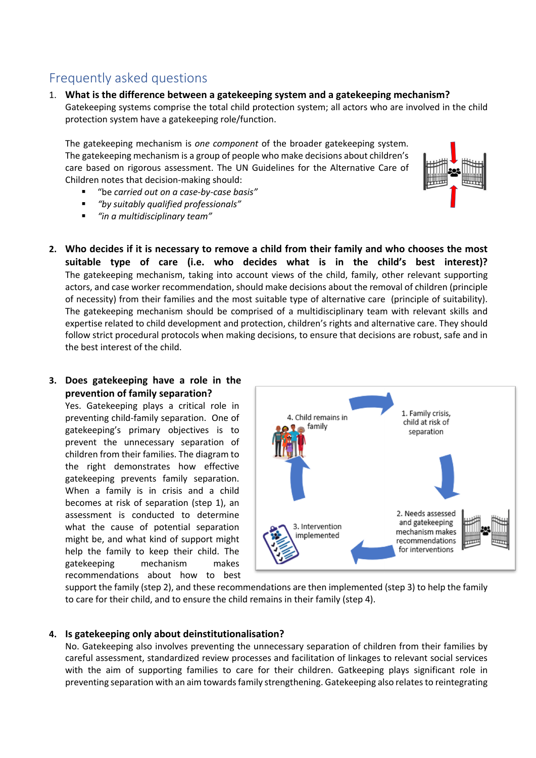## Frequently asked questions

1. **What is the difference between a gatekeeping system and a gatekeeping mechanism?** Gatekeeping systems comprise the total child protection system; all actors who are involved in the child protection system have a gatekeeping role/function.

The gatekeeping mechanism is *one component* of the broader gatekeeping system. The gatekeeping mechanism is a group of people who make decisions about children's care based on rigorous assessment. The UN Guidelines for the Alternative Care of Children notes that decision-making should:

- § "be *carried out on a case-by-case basis"*
- § *"by suitably qualified professionals"*
- § *"in a multidisciplinary team"*
- **2. Who decides if it is necessary to remove a child from their family and who chooses the most suitable type of care (i.e. who decides what is in the child's best interest)?** The gatekeeping mechanism, taking into account views of the child, family, other relevant supporting actors, and case worker recommendation, should make decisions about the removal of children (principle of necessity) from their families and the most suitable type of alternative care (principle of suitability). The gatekeeping mechanism should be comprised of a multidisciplinary team with relevant skills and expertise related to child development and protection, children's rights and alternative care. They should follow strict procedural protocols when making decisions, to ensure that decisions are robust, safe and in the best interest of the child.

### **3. Does gatekeeping have a role in the prevention of family separation?**

Yes. Gatekeeping plays a critical role in preventing child-family separation. One of gatekeeping's primary objectives is to prevent the unnecessary separation of children from their families. The diagram to the right demonstrates how effective gatekeeping prevents family separation. When a family is in crisis and a child becomes at risk of separation (step 1), an assessment is conducted to determine what the cause of potential separation might be, and what kind of support might help the family to keep their child. The gatekeeping mechanism makes recommendations about how to best



support the family (step 2), and these recommendations are then implemented (step 3) to help the family to care for their child, and to ensure the child remains in their family (step 4).

### **4. Is gatekeeping only about deinstitutionalisation?**

No. Gatekeeping also involves preventing the unnecessary separation of children from their families by careful assessment, standardized review processes and facilitation of linkages to relevant social services with the aim of supporting families to care for their children. Gatkeeping plays significant role in preventing separation with an aim towards family strengthening. Gatekeeping also relates to reintegrating